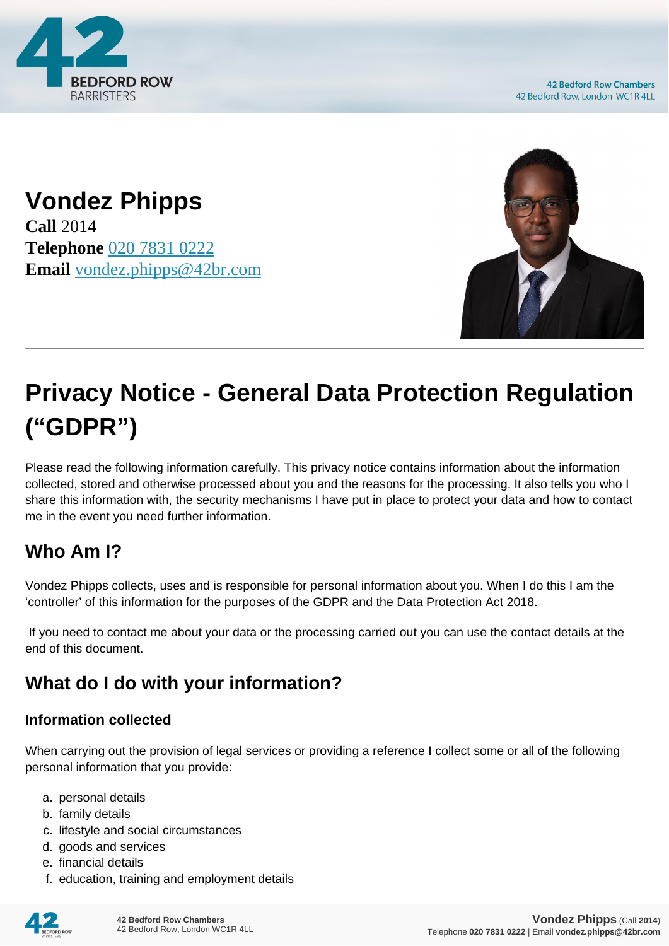

**42 Bedford Row Chambers** 42 Bedford Row, London WC1R 4LL

**Vondez Phipps Call** 2014 **Telephone** [020 7831 0222](https://pdf.codeshore.co/_42br/tel:020 7831 0222) **Email** [vondez.phipps@42br.com](mailto:vondez.phipps@42br.com)



# **Privacy Notice - General Data Protection Regulation ("GDPR")**

Please read the following information carefully. This privacy notice contains information about the information collected, stored and otherwise processed about you and the reasons for the processing. It also tells you who I share this information with, the security mechanisms I have put in place to protect your data and how to contact me in the event you need further information.

# **Who Am I?**

Vondez Phipps collects, uses and is responsible for personal information about you. When I do this I am the 'controller' of this information for the purposes of the GDPR and the Data Protection Act 2018.

 If you need to contact me about your data or the processing carried out you can use the contact details at the end of this document.

# **What do I do with your information?**

#### **Information collected**

When carrying out the provision of legal services or providing a reference I collect some or all of the following personal information that you provide:

- a. personal details
- b. family details
- c. lifestyle and social circumstances
- d. goods and services
- e. financial details
- f. education, training and employment details

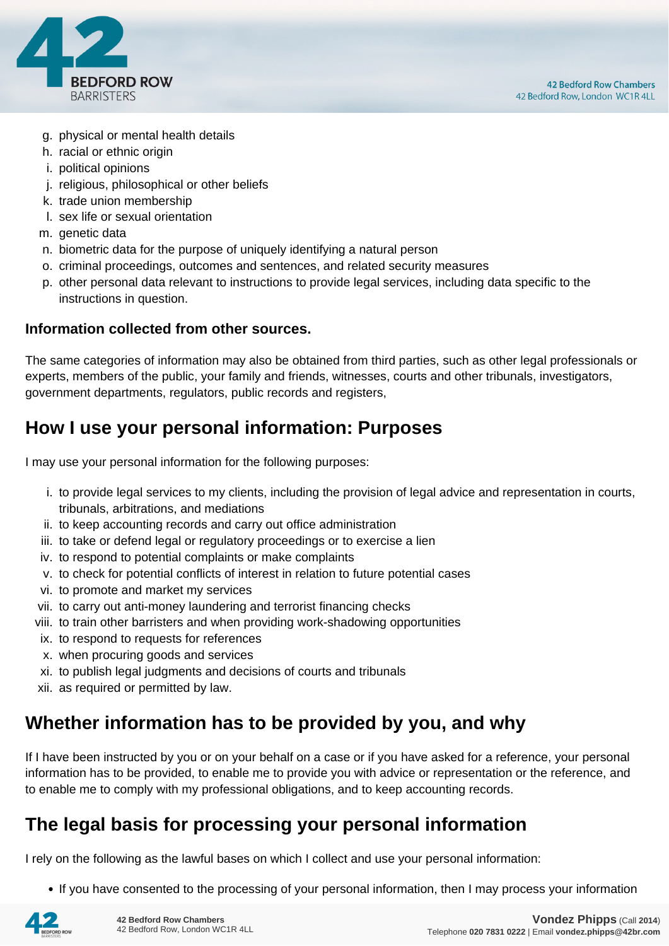

- g. physical or mental health details
- h. racial or ethnic origin
- i. political opinions
- j. religious, philosophical or other beliefs
- k. trade union membership
- l. sex life or sexual orientation
- m. genetic data
- n. biometric data for the purpose of uniquely identifying a natural person
- o. criminal proceedings, outcomes and sentences, and related security measures
- p. other personal data relevant to instructions to provide legal services, including data specific to the instructions in question.

#### **Information collected from other sources.**

The same categories of information may also be obtained from third parties, such as other legal professionals or experts, members of the public, your family and friends, witnesses, courts and other tribunals, investigators, government departments, regulators, public records and registers,

# **How I use your personal information: Purposes**

I may use your personal information for the following purposes:

- i. to provide legal services to my clients, including the provision of legal advice and representation in courts, tribunals, arbitrations, and mediations
- ii. to keep accounting records and carry out office administration
- iii. to take or defend legal or regulatory proceedings or to exercise a lien
- iv. to respond to potential complaints or make complaints
- v. to check for potential conflicts of interest in relation to future potential cases
- vi. to promote and market my services
- vii. to carry out anti-money laundering and terrorist financing checks
- viii. to train other barristers and when providing work-shadowing opportunities
- ix. to respond to requests for references
- x. when procuring goods and services
- xi. to publish legal judgments and decisions of courts and tribunals
- xii. as required or permitted by law.

# **Whether information has to be provided by you, and why**

If I have been instructed by you or on your behalf on a case or if you have asked for a reference, your personal information has to be provided, to enable me to provide you with advice or representation or the reference, and to enable me to comply with my professional obligations, and to keep accounting records.

# **The legal basis for processing your personal information**

I rely on the following as the lawful bases on which I collect and use your personal information:

• If you have consented to the processing of your personal information, then I may process your information

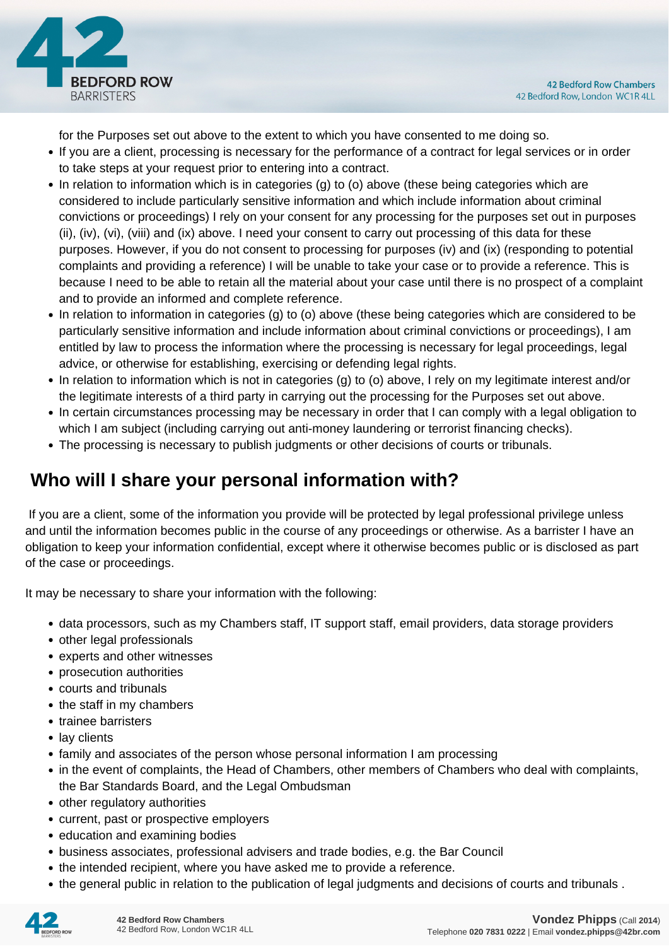

for the Purposes set out above to the extent to which you have consented to me doing so.

- If you are a client, processing is necessary for the performance of a contract for legal services or in order to take steps at your request prior to entering into a contract.
- In relation to information which is in categories (g) to (o) above (these being categories which are considered to include particularly sensitive information and which include information about criminal convictions or proceedings) I rely on your consent for any processing for the purposes set out in purposes (ii), (iv), (vi), (viii) and (ix) above. I need your consent to carry out processing of this data for these purposes. However, if you do not consent to processing for purposes (iv) and (ix) (responding to potential complaints and providing a reference) I will be unable to take your case or to provide a reference. This is because I need to be able to retain all the material about your case until there is no prospect of a complaint and to provide an informed and complete reference.
- In relation to information in categories (g) to (o) above (these being categories which are considered to be particularly sensitive information and include information about criminal convictions or proceedings), I am entitled by law to process the information where the processing is necessary for legal proceedings, legal advice, or otherwise for establishing, exercising or defending legal rights.
- In relation to information which is not in categories (g) to (o) above, I rely on my legitimate interest and/or the legitimate interests of a third party in carrying out the processing for the Purposes set out above.
- In certain circumstances processing may be necessary in order that I can comply with a legal obligation to which I am subject (including carrying out anti-money laundering or terrorist financing checks).
- The processing is necessary to publish judgments or other decisions of courts or tribunals.

# **Who will I share your personal information with?**

 If you are a client, some of the information you provide will be protected by legal professional privilege unless and until the information becomes public in the course of any proceedings or otherwise. As a barrister I have an obligation to keep your information confidential, except where it otherwise becomes public or is disclosed as part of the case or proceedings.

It may be necessary to share your information with the following:

- data processors, such as my Chambers staff, IT support staff, email providers, data storage providers
- other legal professionals
- experts and other witnesses
- prosecution authorities
- courts and tribunals
- the staff in my chambers
- trainee barristers
- lay clients
- family and associates of the person whose personal information I am processing
- in the event of complaints, the Head of Chambers, other members of Chambers who deal with complaints, the Bar Standards Board, and the Legal Ombudsman
- other regulatory authorities
- current, past or prospective employers
- education and examining bodies
- business associates, professional advisers and trade bodies, e.g. the Bar Council
- the intended recipient, where you have asked me to provide a reference.
- the general public in relation to the publication of legal judgments and decisions of courts and tribunals .

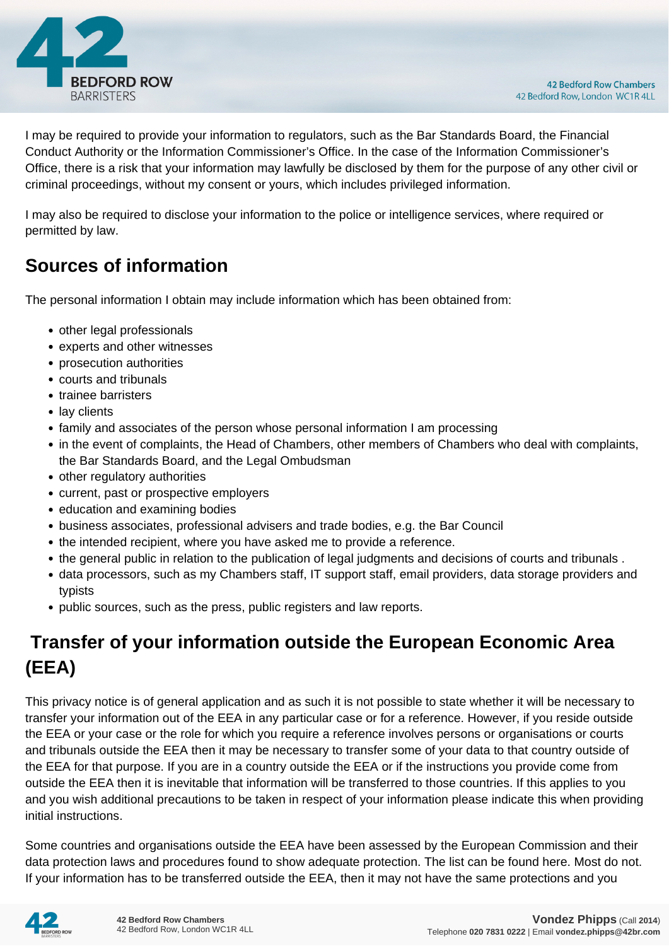

I may be required to provide your information to regulators, such as the Bar Standards Board, the Financial Conduct Authority or the Information Commissioner's Office. In the case of the Information Commissioner's Office, there is a risk that your information may lawfully be disclosed by them for the purpose of any other civil or criminal proceedings, without my consent or yours, which includes privileged information.

I may also be required to disclose your information to the police or intelligence services, where required or permitted by law.

# **Sources of information**

The personal information I obtain may include information which has been obtained from:

- other legal professionals
- experts and other witnesses
- prosecution authorities
- courts and tribunals
- trainee barristers
- lay clients
- family and associates of the person whose personal information I am processing
- in the event of complaints, the Head of Chambers, other members of Chambers who deal with complaints, the Bar Standards Board, and the Legal Ombudsman
- other regulatory authorities
- current, past or prospective employers
- education and examining bodies
- business associates, professional advisers and trade bodies, e.g. the Bar Council
- the intended recipient, where you have asked me to provide a reference.
- the general public in relation to the publication of legal judgments and decisions of courts and tribunals .
- data processors, such as my Chambers staff, IT support staff, email providers, data storage providers and typists
- public sources, such as the press, public registers and law reports.

# **Transfer of your information outside the European Economic Area (EEA)**

This privacy notice is of general application and as such it is not possible to state whether it will be necessary to transfer your information out of the EEA in any particular case or for a reference. However, if you reside outside the EEA or your case or the role for which you require a reference involves persons or organisations or courts and tribunals outside the EEA then it may be necessary to transfer some of your data to that country outside of the EEA for that purpose. If you are in a country outside the EEA or if the instructions you provide come from outside the EEA then it is inevitable that information will be transferred to those countries. If this applies to you and you wish additional precautions to be taken in respect of your information please indicate this when providing initial instructions.

Some countries and organisations outside the EEA have been assessed by the European Commission and their data protection laws and procedures found to show adequate protection. The list can be found here. Most do not. If your information has to be transferred outside the EEA, then it may not have the same protections and you

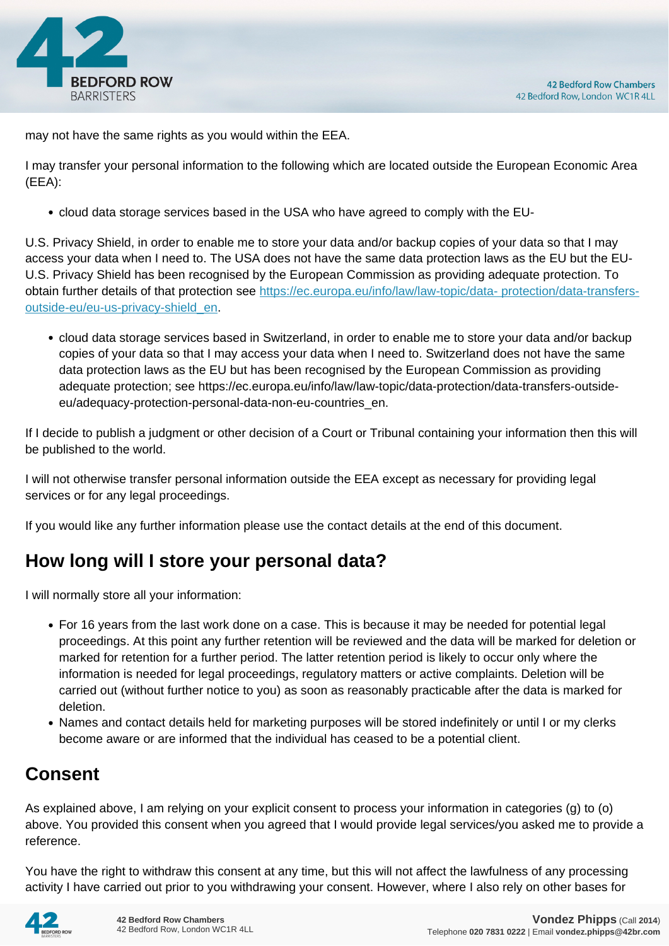

may not have the same rights as you would within the EEA.

I may transfer your personal information to the following which are located outside the European Economic Area (EEA):

cloud data storage services based in the USA who have agreed to comply with the EU-

U.S. Privacy Shield, in order to enable me to store your data and/or backup copies of your data so that I may access your data when I need to. The USA does not have the same data protection laws as the EU but the EU-U.S. Privacy Shield has been recognised by the European Commission as providing adequate protection. To obtain further details of that protection see [https://ec.europa.eu/info/law/law-topic/data- protection/data-transfers](https://ec.europa.eu/info/law/law-topic/data- protection/data-transfers-outside-eu/eu-us-privacy-shield_en)[outside-eu/eu-us-privacy-shield\\_en.](https://ec.europa.eu/info/law/law-topic/data- protection/data-transfers-outside-eu/eu-us-privacy-shield_en)

cloud data storage services based in Switzerland, in order to enable me to store your data and/or backup copies of your data so that I may access your data when I need to. Switzerland does not have the same data protection laws as the EU but has been recognised by the European Commission as providing adequate protection; see https://ec.europa.eu/info/law/law-topic/data-protection/data-transfers-outsideeu/adequacy-protection-personal-data-non-eu-countries\_en.

If I decide to publish a judgment or other decision of a Court or Tribunal containing your information then this will be published to the world.

I will not otherwise transfer personal information outside the EEA except as necessary for providing legal services or for any legal proceedings.

If you would like any further information please use the contact details at the end of this document.

# **How long will I store your personal data?**

I will normally store all your information:

- For 16 years from the last work done on a case. This is because it may be needed for potential legal proceedings. At this point any further retention will be reviewed and the data will be marked for deletion or marked for retention for a further period. The latter retention period is likely to occur only where the information is needed for legal proceedings, regulatory matters or active complaints. Deletion will be carried out (without further notice to you) as soon as reasonably practicable after the data is marked for deletion.
- Names and contact details held for marketing purposes will be stored indefinitely or until I or my clerks become aware or are informed that the individual has ceased to be a potential client.

# **Consent**

As explained above, I am relying on your explicit consent to process your information in categories (g) to (o) above. You provided this consent when you agreed that I would provide legal services/you asked me to provide a reference.

You have the right to withdraw this consent at any time, but this will not affect the lawfulness of any processing activity I have carried out prior to you withdrawing your consent. However, where I also rely on other bases for

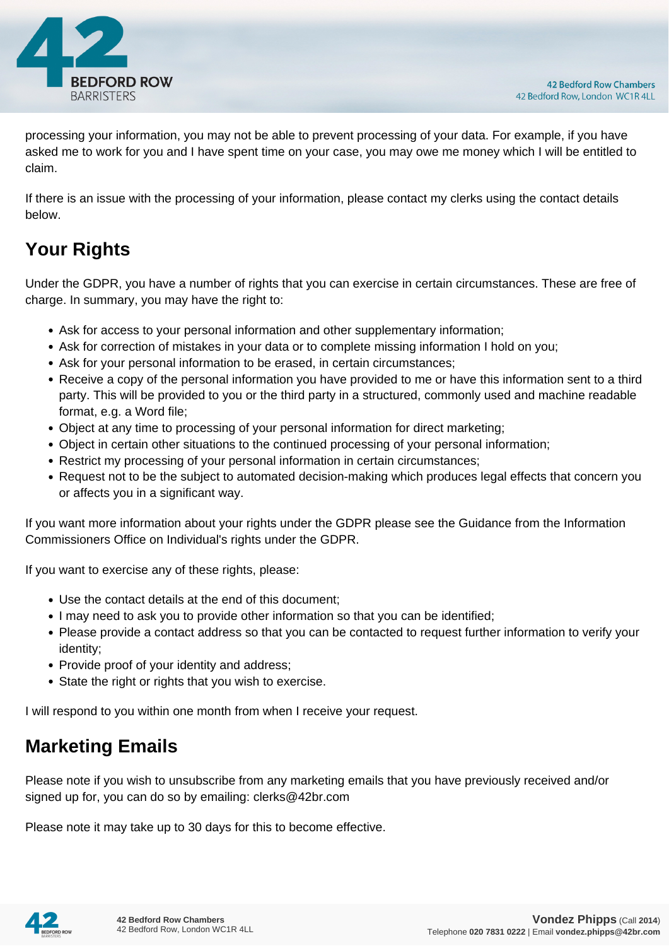

processing your information, you may not be able to prevent processing of your data. For example, if you have asked me to work for you and I have spent time on your case, you may owe me money which I will be entitled to claim.

If there is an issue with the processing of your information, please contact my clerks using the contact details below.

# **Your Rights**

Under the GDPR, you have a number of rights that you can exercise in certain circumstances. These are free of charge. In summary, you may have the right to:

- Ask for access to your personal information and other supplementary information;
- Ask for correction of mistakes in your data or to complete missing information I hold on you;
- Ask for your personal information to be erased, in certain circumstances;
- Receive a copy of the personal information you have provided to me or have this information sent to a third party. This will be provided to you or the third party in a structured, commonly used and machine readable format, e.g. a Word file;
- Object at any time to processing of your personal information for direct marketing;
- Object in certain other situations to the continued processing of your personal information;
- Restrict my processing of your personal information in certain circumstances;
- Request not to be the subject to automated decision-making which produces legal effects that concern you or affects you in a significant way.

If you want more information about your rights under the GDPR please see the Guidance from the Information Commissioners Office on Individual's rights under the GDPR.

If you want to exercise any of these rights, please:

- Use the contact details at the end of this document;
- I may need to ask you to provide other information so that you can be identified;
- Please provide a contact address so that you can be contacted to request further information to verify your identity;
- Provide proof of your identity and address;
- State the right or rights that you wish to exercise.

I will respond to you within one month from when I receive your request.

# **Marketing Emails**

Please note if you wish to unsubscribe from any marketing emails that you have previously received and/or signed up for, you can do so by emailing: clerks@42br.com

Please note it may take up to 30 days for this to become effective.